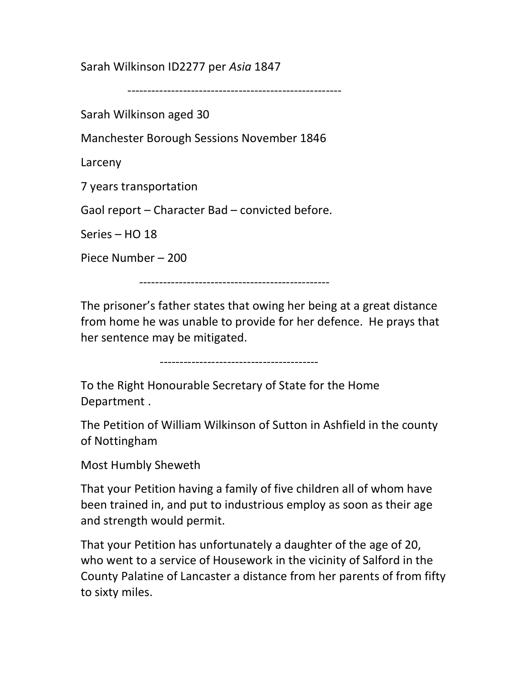Sarah Wilkinson ID2277 per Asia 1847

------------------------------------------------------

Sarah Wilkinson aged 30

Manchester Borough Sessions November 1846

Larceny

7 years transportation

Gaol report – Character Bad – convicted before.

Series – HO 18

Piece Number – 200

------------------------------------------------

The prisoner's father states that owing her being at a great distance from home he was unable to provide for her defence. He prays that her sentence may be mitigated.

----------------------------------------

To the Right Honourable Secretary of State for the Home Department .

The Petition of William Wilkinson of Sutton in Ashfield in the county of Nottingham

Most Humbly Sheweth

That your Petition having a family of five children all of whom have been trained in, and put to industrious employ as soon as their age and strength would permit.

That your Petition has unfortunately a daughter of the age of 20, who went to a service of Housework in the vicinity of Salford in the County Palatine of Lancaster a distance from her parents of from fifty to sixty miles.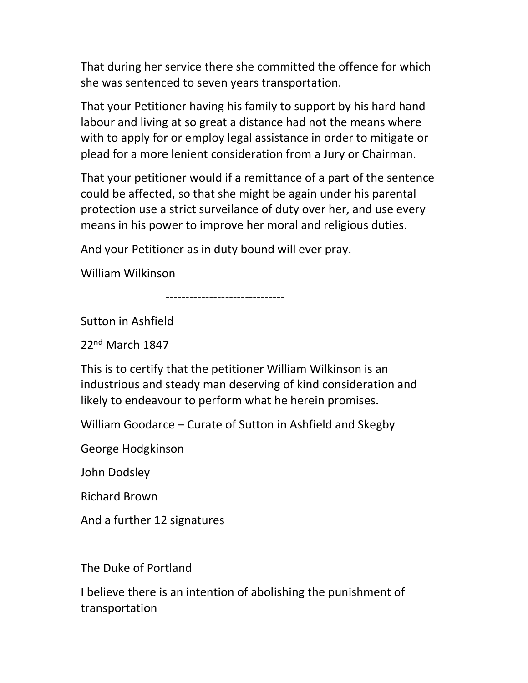That during her service there she committed the offence for which she was sentenced to seven years transportation.

That your Petitioner having his family to support by his hard hand labour and living at so great a distance had not the means where with to apply for or employ legal assistance in order to mitigate or plead for a more lenient consideration from a Jury or Chairman.

That your petitioner would if a remittance of a part of the sentence could be affected, so that she might be again under his parental protection use a strict surveilance of duty over her, and use every means in his power to improve her moral and religious duties.

And your Petitioner as in duty bound will ever pray.

William Wilkinson

------------------------------

Sutton in Ashfield

22nd March 1847

This is to certify that the petitioner William Wilkinson is an industrious and steady man deserving of kind consideration and likely to endeavour to perform what he herein promises.

William Goodarce – Curate of Sutton in Ashfield and Skegby

George Hodgkinson

John Dodsley

Richard Brown

And a further 12 signatures

----------------------------

The Duke of Portland

I believe there is an intention of abolishing the punishment of transportation